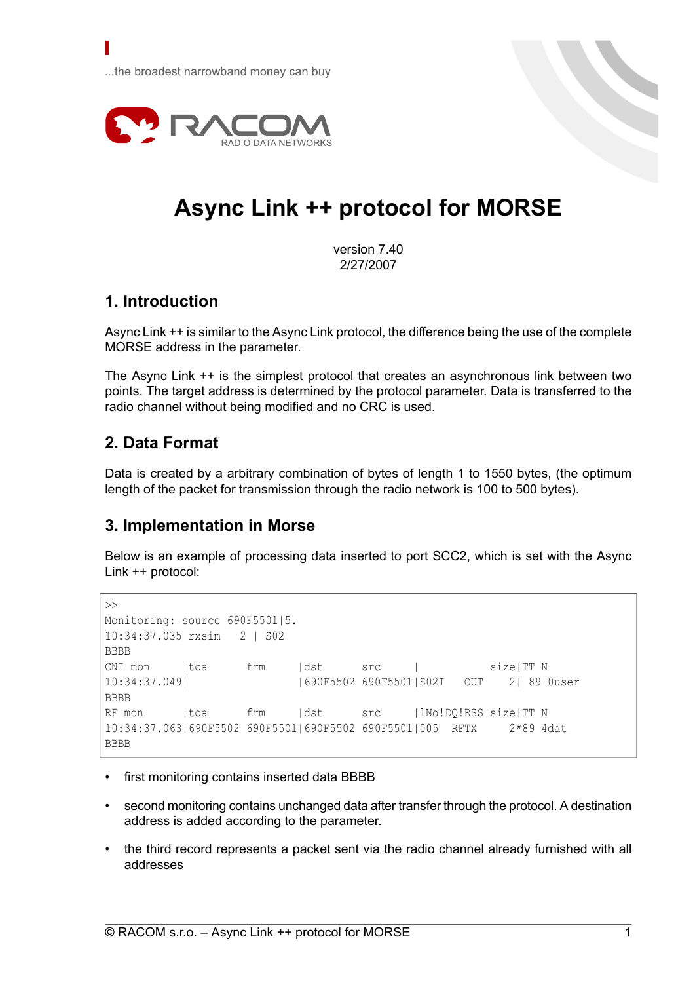

# **Async Link ++ protocol for MORSE**

version 7.40 2/27/2007

### **1. Introduction**

Γ

Async Link ++ is similar to the Async Link protocol, the difference being the use of the complete MORSE address in the parameter.

The Async Link ++ is the simplest protocol that creates an asynchronous link between two points. The target address is determined by the protocol parameter. Data is transferred to the radio channel without being modified and no CRC is used.

### **2. Data Format**

Data is created by a arbitrary combination of bytes of length 1 to 1550 bytes, (the optimum length of the packet for transmission through the radio network is 100 to 500 bytes).

#### **3. Implementation in Morse**

Below is an example of processing data inserted to port SCC2, which is set with the Async Link ++ protocol:

```
\gtMonitoring: source 690F5501|5.
10:34:37.035 rxsim 2 | S02
BBBB
CNI mon |toa frm |dst src | size|TT N
10:34:37.049| |690F5502 690F5501|S02I OUT 2| 89 0user
BBBB
RF mon ltoa frm |dst src |lNo!DQ!RSS size|TT N
10:34:37.063|690F5502 690F5501|690F5502 690F5501|005 RFTX 2*89 4dat
BBBB
```
- first monitoring contains inserted data BBBB
- second monitoring contains unchanged data after transfer through the protocol. A destination address is added according to the parameter.
- the third record represents a packet sent via the radio channel already furnished with all addresses